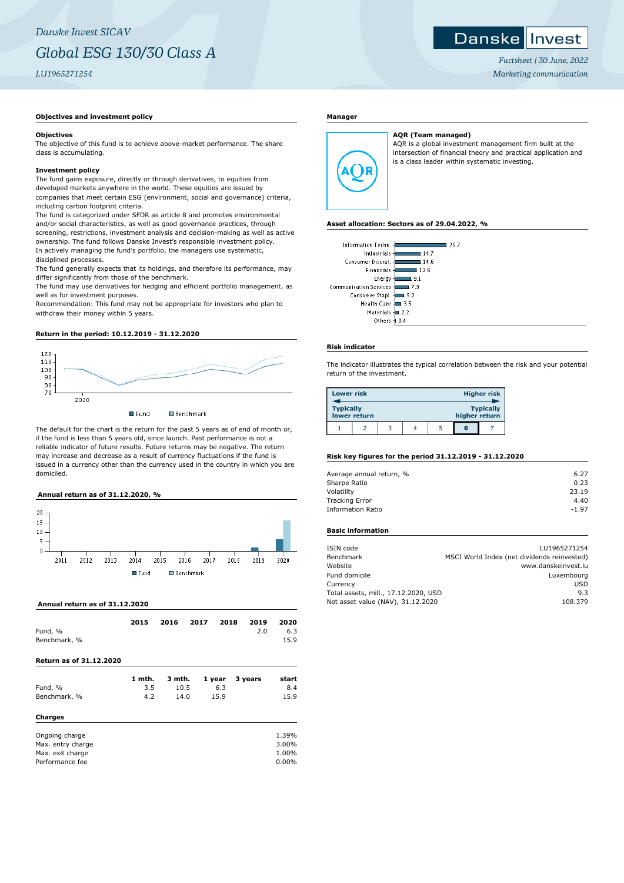# *Danske Invest SICAV Global ESG 130/30 Class A LU1965271254*

## Danske Invest

*Factsheet | 30 June, 2022 Marketing communication*

# **Objectives and investment policy**

#### **Objectives**

The objective of this fund is to achieve above-market performance. The share class is accumulating.

## **Investment policy**

The fund gains exposure, directly or through derivatives, to equities from developed markets anywhere in the world. These equities are issued by companies that meet certain ESG (environment, social and governance) criteria, including carbon footprint criteria.

The fund is categorized under SFDR as article 8 and promotes environmental and/or social characteristics, as well as good governance practices, through screening, restrictions, investment analysis and decision-making as well as active ownership. The fund follows Danske Invest's responsible investment policy. In actively managing the fund's portfolio, the managers use systematic, disciplined processes.

The fund generally expects that its holdings, and therefore its performance, may differ significantly from those of the benchmark.

The fund may use derivatives for hedging and efficient portfolio management, as well as for investment purposes.

Recommendation: This fund may not be appropriate for investors who plan to withdraw their money within 5 years.

### **Return in the period: 10.12.2019 - 31.12.2020**



The default for the chart is the return for the past 5 years as of end of month or, if the fund is less than 5 years old, since launch. Past performance is not a reliable indicator of future results. Future returns may be negative. The return may increase and decrease as a result of currency fluctuations if the fund is issued in a currency other than the currency used in the country in which you are domiciled.

### **Annual return as of 31.12.2020, %**



# **Annual return as of 31.12.2020**

|                         | 2015   | 2016   | 2017 | 2018   | 2019    | 2020     |
|-------------------------|--------|--------|------|--------|---------|----------|
| Fund, %                 |        |        |      |        | 2.0     | 6.3      |
| Benchmark, %            |        |        |      |        |         | 15.9     |
| Return as of 31.12.2020 |        |        |      |        |         |          |
|                         | 1 mth. | 3 mth. |      | 1 year | 3 years | start    |
| Fund, %                 | 3.5    | 10.5   |      | 6.3    |         | 8.4      |
| Benchmark, %            | 4.2    | 14.0   |      | 15.9   |         | 15.9     |
| <b>Charges</b>          |        |        |      |        |         |          |
| Ongoing charge          |        |        |      |        |         | 1.39%    |
| Max. entry charge       |        |        |      |        |         | 3.00%    |
| Max. exit charge        |        |        |      |        |         | 1.00%    |
| Performance fee         |        |        |      |        |         | $0.00\%$ |

# **Manager**



**AQR (Team managed)** AQR is a global investment management firm built at the intersection of financial theory and practical application and is a class leader within systematic investing.

#### **Asset allocation: Sectors as of 29.04.2022, %**

| Information Techn.       | 29.7               |
|--------------------------|--------------------|
| Industrials -            | 14.7               |
| Consumer Discret.        | 14.6               |
| Financials -             | 12.6               |
| Energy-                  | 9.1                |
| Communication Services - | 7.9                |
| Consumer Stapl.          | 5.2                |
| <b>Health Care</b>       | 3.5                |
| Materials 4              | $\blacksquare$ 2.2 |
| Others                   |                    |

### **Risk indicator**

The indicator illustrates the typical correlation between the risk and your potential return of the investment.

| <b>Lower risk</b> |              |  |               | <b>Higher risk</b> |
|-------------------|--------------|--|---------------|--------------------|
| <b>Typically</b>  | lower return |  | higher return | <b>Typically</b>   |
|                   |              |  | ĸ             |                    |

# **Risk key figures for the period 31.12.2019 - 31.12.2020**

| Average annual return, % | 6.27    |
|--------------------------|---------|
| Sharpe Ratio             | 0.23    |
| Volatility               | 23.19   |
| <b>Tracking Error</b>    | 4.40    |
| <b>Information Ratio</b> | $-1.97$ |
|                          |         |

# **Basic information**

| ISIN code                            | LU1965271254                                |
|--------------------------------------|---------------------------------------------|
| Benchmark                            | MSCI World Index (net dividends reinvested) |
| Website                              | www.danskeinvest.lu                         |
| Fund domicile                        | Luxembourg                                  |
| Currency                             | USD                                         |
| Total assets, mill., 17.12.2020, USD | 9.3                                         |
| Net asset value (NAV), 31.12.2020    | 108.379                                     |
|                                      |                                             |